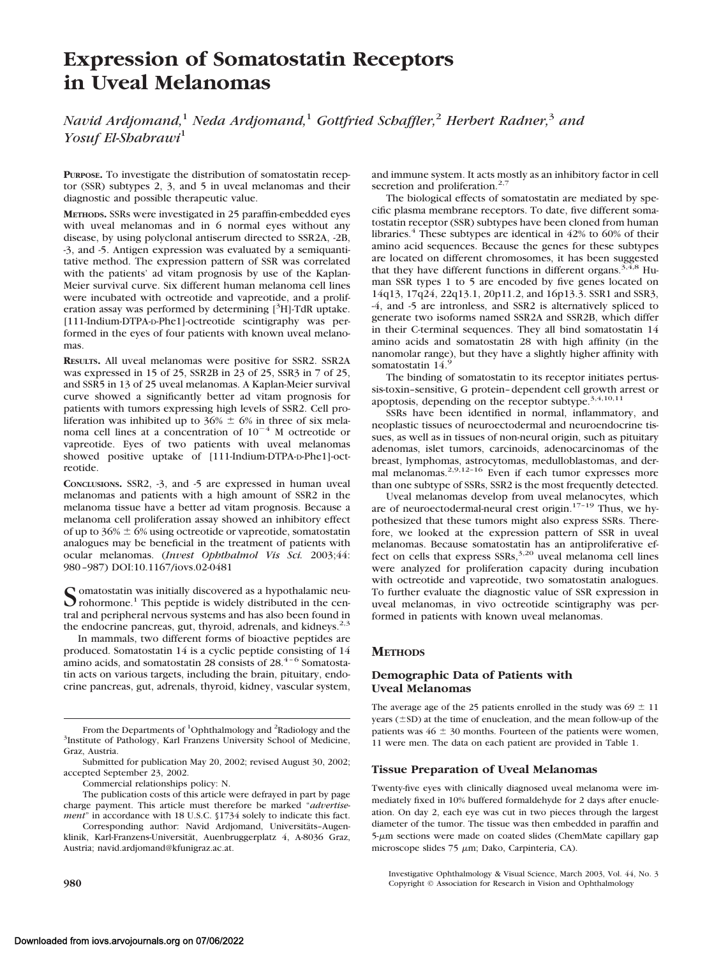# **Expression of Somatostatin Receptors in Uveal Melanomas**

*Navid Ardjomand,*<sup>1</sup> *Neda Ardjomand,*<sup>1</sup> *Gottfried Schaffler,*<sup>2</sup> *Herbert Radner,*<sup>3</sup> *and Yosuf El-Shabrawi*<sup>1</sup>

**PURPOSE.** To investigate the distribution of somatostatin receptor (SSR) subtypes 2, 3, and 5 in uveal melanomas and their diagnostic and possible therapeutic value.

**METHODS.** SSRs were investigated in 25 paraffin-embedded eyes with uveal melanomas and in 6 normal eyes without any disease, by using polyclonal antiserum directed to SSR2A, -2B, -3, and -5. Antigen expression was evaluated by a semiquantitative method. The expression pattern of SSR was correlated with the patients' ad vitam prognosis by use of the Kaplan-Meier survival curve. Six different human melanoma cell lines were incubated with octreotide and vapreotide, and a proliferation assay was performed by determining [<sup>3</sup>H]-TdR uptake. [111-Indium-DTPA-D-Phe1]-octreotide scintigraphy was performed in the eyes of four patients with known uveal melanomas.

**RESULTS.** All uveal melanomas were positive for SSR2. SSR2A was expressed in 15 of 25, SSR2B in 23 of 25, SSR3 in 7 of 25, and SSR5 in 13 of 25 uveal melanomas. A Kaplan-Meier survival curve showed a significantly better ad vitam prognosis for patients with tumors expressing high levels of SSR2. Cell proliferation was inhibited up to  $36\% \pm 6\%$  in three of six melanoma cell lines at a concentration of  $10^{-4}$  M octreotide or vapreotide. Eyes of two patients with uveal melanomas showed positive uptake of [111-Indium-DTPA-D-Phe1]-octreotide.

**CONCLUSIONS.** SSR2, -3, and -5 are expressed in human uveal melanomas and patients with a high amount of SSR2 in the melanoma tissue have a better ad vitam prognosis. Because a melanoma cell proliferation assay showed an inhibitory effect of up to  $36\% \pm 6\%$  using octreotide or vapreotide, somatostatin analogues may be beneficial in the treatment of patients with ocular melanomas. (*Invest Ophthalmol Vis Sci.* 2003;44: 980–987) DOI:10.1167/iovs.02-0481

Somatostatin was initially discovered as a hypothalamic neu-<br>rohormone.<sup>1</sup> This peptide is widely distributed in the central and peripheral nervous systems and has also been found in the endocrine pancreas, gut, thyroid, adrenals, and kidneys.<sup>2,3</sup>

In mammals, two different forms of bioactive peptides are produced. Somatostatin 14 is a cyclic peptide consisting of 14 amino acids, and somatostatin 28 consists of 28.<sup>4-6</sup> Somatostatin acts on various targets, including the brain, pituitary, endocrine pancreas, gut, adrenals, thyroid, kidney, vascular system,

Commercial relationships policy: N.

The publication costs of this article were defrayed in part by page charge payment. This article must therefore be marked "*advertisement*" in accordance with 18 U.S.C. §1734 solely to indicate this fact.

Corresponding author: Navid Ardjomand, Universitäts-Augenklinik, Karl-Franzens-Universität, Auenbruggerplatz 4, A-8036 Graz, Austria; navid.ardjomand@kfunigraz.ac.at.

and immune system. It acts mostly as an inhibitory factor in cell secretion and proliferation.<sup>2,7</sup>

The biological effects of somatostatin are mediated by specific plasma membrane receptors. To date, five different somatostatin receptor (SSR) subtypes have been cloned from human libraries.<sup>4</sup> These subtypes are identical in  $42\%$  to 60% of their amino acid sequences. Because the genes for these subtypes are located on different chromosomes, it has been suggested that they have different functions in different organs.<sup>3,4,8</sup> Human SSR types 1 to 5 are encoded by five genes located on 14q13, 17q24, 22q13.1, 20p11.2, and 16p13.3. SSR1 and SSR3, -4, and -5 are intronless, and SSR2 is alternatively spliced to generate two isoforms named SSR2A and SSR2B, which differ in their C-terminal sequences. They all bind somatostatin 14 amino acids and somatostatin 28 with high affinity (in the nanomolar range), but they have a slightly higher affinity with somatostatin 14.9

The binding of somatostatin to its receptor initiates pertussis-toxin–sensitive, G protein–dependent cell growth arrest or apoptosis, depending on the receptor subtype.3,4,10,11

SSRs have been identified in normal, inflammatory, and neoplastic tissues of neuroectodermal and neuroendocrine tissues, as well as in tissues of non-neural origin, such as pituitary adenomas, islet tumors, carcinoids, adenocarcinomas of the breast, lymphomas, astrocytomas, medulloblastomas, and dermal melanomas.<sup>2,9,12-16</sup> Even if each tumor expresses more than one subtype of SSRs, SSR2 is the most frequently detected.

Uveal melanomas develop from uveal melanocytes, which are of neuroectodermal-neural crest origin. $17-19$  Thus, we hypothesized that these tumors might also express SSRs. Therefore, we looked at the expression pattern of SSR in uveal melanomas. Because somatostatin has an antiproliferative effect on cells that express  $SSRs$ ,<sup>3,20</sup> uveal melanoma cell lines were analyzed for proliferation capacity during incubation with octreotide and vapreotide, two somatostatin analogues. To further evaluate the diagnostic value of SSR expression in uveal melanomas, in vivo octreotide scintigraphy was performed in patients with known uveal melanomas.

# **METHODS**

## **Demographic Data of Patients with Uveal Melanomas**

The average age of the 25 patients enrolled in the study was  $69 \pm 11$ years  $(\pm SD)$  at the time of enucleation, and the mean follow-up of the patients was  $46 \pm 30$  months. Fourteen of the patients were women, 11 were men. The data on each patient are provided in Table 1.

# **Tissue Preparation of Uveal Melanomas**

Twenty-five eyes with clinically diagnosed uveal melanoma were immediately fixed in 10% buffered formaldehyde for 2 days after enucleation. On day 2, each eye was cut in two pieces through the largest diameter of the tumor. The tissue was then embedded in paraffin and 5-um sections were made on coated slides (ChemMate capillary gap microscope slides 75  $\mu$ m; Dako, Carpinteria, CA).

From the Departments of <sup>1</sup>Ophthalmology and <sup>2</sup>Radiology and the <sup>3</sup>Institute of Pathology. Karl Franzens University School of Medicine <sup>3</sup>Institute of Pathology, Karl Franzens University School of Medicine, Graz, Austria.

Submitted for publication May 20, 2002; revised August 30, 2002; accepted September 23, 2002.

Investigative Ophthalmology & Visual Science, March 2003, Vol. 44, No. 3 **980** Copyright © Association for Research in Vision and Ophthalmology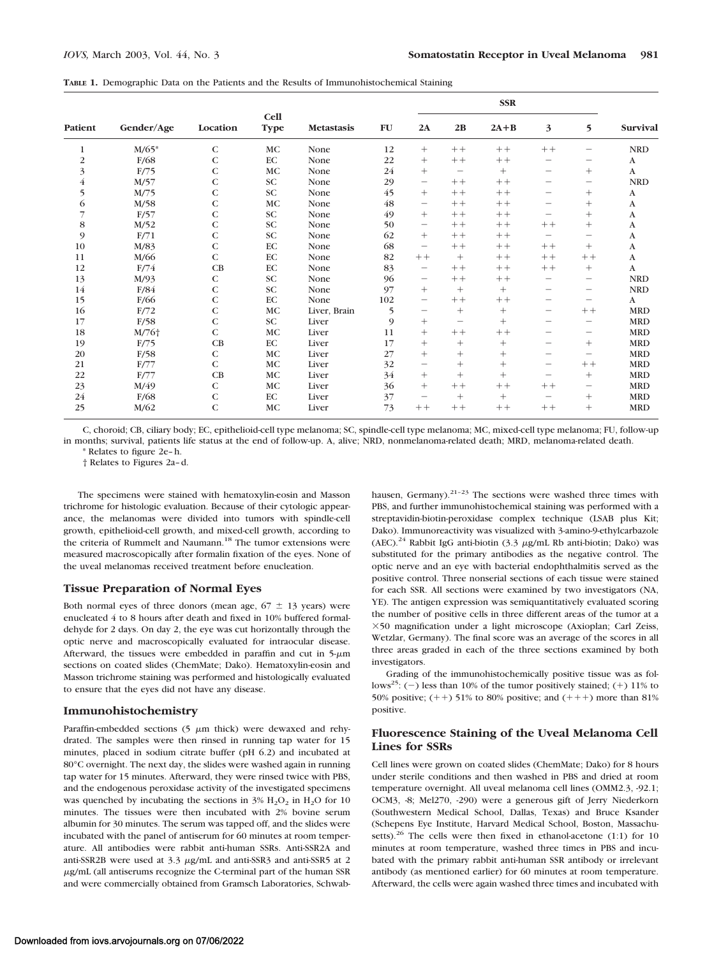|  |  |  |  |  |  | TABLE 1. Demographic Data on the Patients and the Results of Immunohistochemical Staining |  |  |
|--|--|--|--|--|--|-------------------------------------------------------------------------------------------|--|--|
|--|--|--|--|--|--|-------------------------------------------------------------------------------------------|--|--|

| <b>Patient</b> | Gender/Age        | Location     | <b>Cell</b><br><b>Type</b> | <b>Metastasis</b> | ${\bf F}{\bf U}$ | <b>SSR</b>               |                                 |        |                          |                          |                 |
|----------------|-------------------|--------------|----------------------------|-------------------|------------------|--------------------------|---------------------------------|--------|--------------------------|--------------------------|-----------------|
|                |                   |              |                            |                   |                  | 2A                       | 2B                              | $2A+B$ | 3                        | 5                        | <b>Survival</b> |
| 1              | $M/65*$           | $\mathsf{C}$ | <b>MC</b>                  | None              | 12               | $^{+}$                   | $++$                            | $++$   | $++$                     |                          | <b>NRD</b>      |
| $\overline{c}$ | F/68              | C            | EC                         | None              | 22               | $^{+}$                   | $++$                            | $++$   | -                        |                          | A               |
| 3              | F/75              | $\mathsf{C}$ | MC                         | None              | 24               | $^{+}$                   | $\hspace{0.1mm}-\hspace{0.1mm}$ | $^{+}$ | -                        | $^{+}$                   | A               |
| $\overline{4}$ | M/57              | C            | SC                         | None              | 29               | $\overline{\phantom{m}}$ | $++$                            | $++$   | -                        | $\overline{\phantom{m}}$ | <b>NRD</b>      |
| 5              | M/75              | $\mathsf{C}$ | <b>SC</b>                  | None              | 45               | $^{+}$                   | $++$                            | $++$   | -                        | $^{+}$                   | A               |
| 6              | M/58              | $\mathsf{C}$ | <b>MC</b>                  | None              | 48               | $\overline{\phantom{0}}$ | $++$                            | $++$   | -                        | $^{+}$                   | A               |
| 7              | F/57              | $\mathsf{C}$ | <b>SC</b>                  | None              | 49               | $^{+}$                   | $++$                            | $++$   | -                        | $^{+}$                   | A               |
| $\bf8$         | M/52              | C            | SC                         | None              | 50               | $\qquad \qquad -$        | $++$                            | $++$   | $++$                     | $^{+}$                   | A               |
| 9              | F/71              | $\mathsf{C}$ | <b>SC</b>                  | None              | 62               | $^{+}$                   | $++$                            | $++$   | -                        | -                        | A               |
| 10             | M/83              | $\mathsf{C}$ | EC                         | None              | 68               | $\qquad \qquad -$        | $++$                            | $++$   | $++$                     | $^{+}$                   | A               |
| 11             | M/66              | C            | EC                         | None              | 82               | $++$                     | $^{+}$                          | $++$   | $++$                     | $++$                     | A               |
| 12             | F/74              | CB           | EC                         | None              | 83               | $\overline{\phantom{m}}$ | $++$                            | $++$   | $++$                     | $^{+}$                   | A               |
| 13             | M/93              | $\mathsf{C}$ | SC                         | None              | 96               |                          | $++$                            | $++$   | -                        | -                        | <b>NRD</b>      |
| 14             | F/84              | C            | SC                         | None              | 97               | $^{+}$                   | $^{+}$                          | $^{+}$ | $\overline{\phantom{0}}$ | -                        | <b>NRD</b>      |
| 15             | F/66              | $\mathsf{C}$ | EC                         | None              | 102              | $\qquad \qquad -$        | $++$                            | $++$   | -                        | $\qquad \qquad$          | A               |
| 16             | F/72              | $\mathsf{C}$ | MC                         | Liver, Brain      | 5                |                          | $^{+}$                          | $^{+}$ | -                        | $++$                     | <b>MRD</b>      |
| 17             | F/58              | $\mathsf{C}$ | <b>SC</b>                  | Liver             | 9                | $^{+}$                   | $\overline{\phantom{0}}$        | $+$    | -                        | -                        | <b>MRD</b>      |
| 18             | M/76 <sup>+</sup> | $\mathsf{C}$ | MC                         | Liver             | 11               | $+$                      | $++$                            | $++$   | $\overline{\phantom{0}}$ | $\qquad \qquad -$        | <b>MRD</b>      |
| 19             | F/75              | CB           | $\rm EC$                   | Liver             | 17               | $^{+}$                   | $^{+}$                          | $^{+}$ | -                        | $^{+}$                   | <b>MRD</b>      |
| 20             | F/58              | C            | <b>MC</b>                  | Liver             | 27               | $^{+}$                   | $^{+}$                          | $^{+}$ | -                        | $\qquad \qquad -$        | <b>MRD</b>      |
| 21             | F/77              | $\mathsf{C}$ | $\rm MC$                   | Liver             | 32               |                          | $^{+}$                          | $+$    | -                        | $++$                     | <b>MRD</b>      |
| 22             | F/77              | CB           | MC                         | Liver             | 34               | $+$                      | $^{+}$                          | $^{+}$ | -                        | $^{+}$                   | <b>MRD</b>      |
| 23             | M/49              | C            | $\rm MC$                   | Liver             | 36               | $^{+}$                   | $++$                            | $++$   | $++$                     | -                        | <b>MRD</b>      |
| 24             | F/68              | C            | $\rm EC$                   | Liver             | 37               | $\qquad \qquad$          | $^{+}$                          | $^{+}$ | -                        | $^{+}$                   | <b>MRD</b>      |
| 25             | M/62              | $\mathsf{C}$ | MC                         | Liver             | 73               | $++$                     | $++$                            | $++$   | $++$                     | $^{+}$                   | <b>MRD</b>      |

C, choroid; CB, ciliary body; EC, epithelioid-cell type melanoma; SC, spindle-cell type melanoma; MC, mixed-cell type melanoma; FU, follow-up in months; survival, patients life status at the end of follow-up. A, alive; NRD, nonmelanoma-related death; MRD, melanoma-related death.

\* Relates to figure 2e–h.

† Relates to Figures 2a–d.

The specimens were stained with hematoxylin-eosin and Masson trichrome for histologic evaluation. Because of their cytologic appearance, the melanomas were divided into tumors with spindle-cell growth, epithelioid-cell growth, and mixed-cell growth, according to the criteria of Rummelt and Naumann.<sup>18</sup> The tumor extensions were measured macroscopically after formalin fixation of the eyes. None of the uveal melanomas received treatment before enucleation.

#### **Tissue Preparation of Normal Eyes**

Both normal eyes of three donors (mean age,  $67 \pm 13$  years) were enucleated 4 to 8 hours after death and fixed in 10% buffered formaldehyde for 2 days. On day 2, the eye was cut horizontally through the optic nerve and macroscopically evaluated for intraocular disease. Afterward, the tissues were embedded in paraffin and cut in  $5-\mu m$ sections on coated slides (ChemMate; Dako). Hematoxylin-eosin and Masson trichrome staining was performed and histologically evaluated to ensure that the eyes did not have any disease.

## **Immunohistochemistry**

Paraffin-embedded sections (5  $\mu$ m thick) were dewaxed and rehydrated. The samples were then rinsed in running tap water for 15 minutes, placed in sodium citrate buffer (pH 6.2) and incubated at 80°C overnight. The next day, the slides were washed again in running tap water for 15 minutes. Afterward, they were rinsed twice with PBS, and the endogenous peroxidase activity of the investigated specimens was quenched by incubating the sections in  $3\%$  H<sub>2</sub>O<sub>2</sub> in H<sub>2</sub>O for 10 minutes. The tissues were then incubated with 2% bovine serum albumin for 30 minutes. The serum was tapped off, and the slides were incubated with the panel of antiserum for 60 minutes at room temperature. All antibodies were rabbit anti-human SSRs. Anti-SSR2A and anti-SSR2B were used at 3.3 µg/mL and anti-SSR3 and anti-SSR5 at 2 g/mL (all antiserums recognize the C-terminal part of the human SSR and were commercially obtained from Gramsch Laboratories, Schwab-

hausen, Germany).<sup>21-23</sup> The sections were washed three times with PBS, and further immunohistochemical staining was performed with a streptavidin-biotin-peroxidase complex technique (LSAB plus Kit; Dako). Immunoreactivity was visualized with 3-amino-9-ethylcarbazole (AEC).<sup>24</sup> Rabbit IgG anti-biotin (3.3  $\mu$ g/mL Rb anti-biotin; Dako) was substituted for the primary antibodies as the negative control. The optic nerve and an eye with bacterial endophthalmitis served as the positive control. Three nonserial sections of each tissue were stained for each SSR. All sections were examined by two investigators (NA, YE). The antigen expression was semiquantitatively evaluated scoring the number of positive cells in three different areas of the tumor at a 50 magnification under a light microscope (Axioplan; Carl Zeiss, Wetzlar, Germany). The final score was an average of the scores in all three areas graded in each of the three sections examined by both investigators.

Grading of the immunohistochemically positive tissue was as follows<sup>25</sup>: (-) less than 10% of the tumor positively stained; (+) 11% to 50% positive;  $(++)$  51% to 80% positive; and  $(++)$  more than 81% positive.

## **Fluorescence Staining of the Uveal Melanoma Cell Lines for SSRs**

Cell lines were grown on coated slides (ChemMate; Dako) for 8 hours under sterile conditions and then washed in PBS and dried at room temperature overnight. All uveal melanoma cell lines (OMM2.3, -92.1; OCM3, -8; Mel270, -290) were a generous gift of Jerry Niederkorn (Southwestern Medical School, Dallas, Texas) and Bruce Ksander (Schepens Eye Institute, Harvard Medical School, Boston, Massachusetts). $26$  The cells were then fixed in ethanol-acetone (1:1) for 10 minutes at room temperature, washed three times in PBS and incubated with the primary rabbit anti-human SSR antibody or irrelevant antibody (as mentioned earlier) for 60 minutes at room temperature. Afterward, the cells were again washed three times and incubated with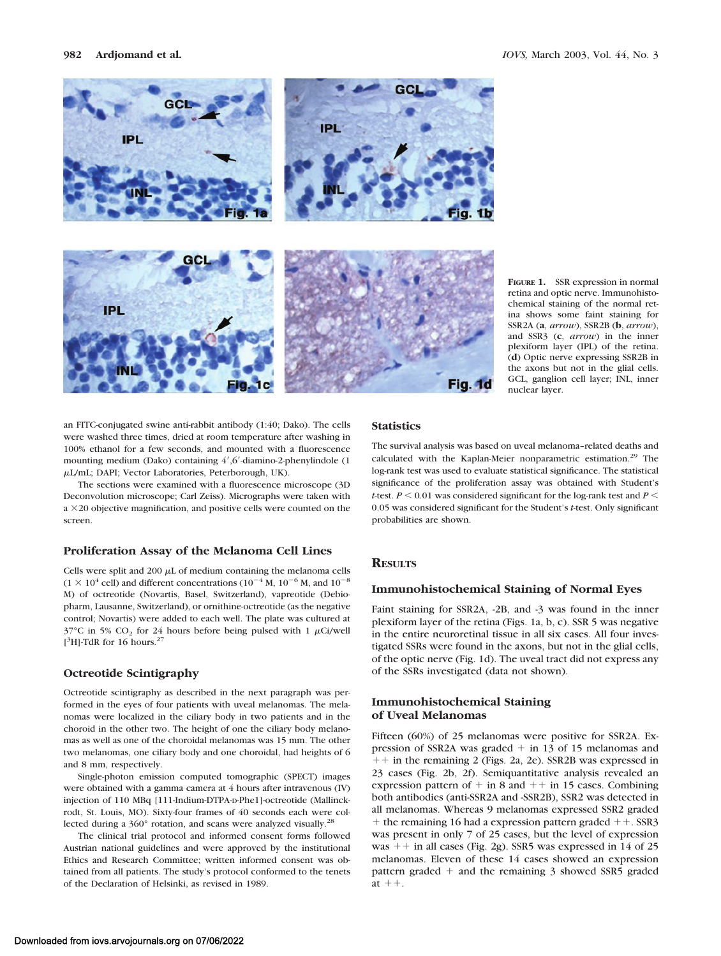

**FIGURE 1.** SSR expression in normal retina and optic nerve. Immunohistochemical staining of the normal retina shows some faint staining for SSR2A (**a**, *arrow*), SSR2B (**b**, *arrow*), and SSR3 (**c**, *arrow*) in the inner plexiform layer (IPL) of the retina. (**d**) Optic nerve expressing SSR2B in the axons but not in the glial cells. GCL, ganglion cell layer; INL, inner nuclear layer.

an FITC-conjugated swine anti-rabbit antibody (1:40; Dako). The cells were washed three times, dried at room temperature after washing in 100% ethanol for a few seconds, and mounted with a fluorescence mounting medium (Dako) containing 4',6'-diamino-2-phenylindole (1 L/mL; DAPI; Vector Laboratories, Peterborough, UK).

The sections were examined with a fluorescence microscope (3D Deconvolution microscope; Carl Zeiss). Micrographs were taken with  $a \times 20$  objective magnification, and positive cells were counted on the screen.

#### **Proliferation Assay of the Melanoma Cell Lines**

Cells were split and 200  $\mu$ L of medium containing the melanoma cells  $(1 \times 10^4 \text{ cell})$  and different concentrations  $(10^{-4} \text{ M}, 10^{-6} \text{ M}, \text{ and } 10^{-8} \text{ m}$ M) of octreotide (Novartis, Basel, Switzerland), vapreotide (Debiopharm, Lausanne, Switzerland), or ornithine-octreotide (as the negative control; Novartis) were added to each well. The plate was cultured at  $37^{\circ}$ C in 5% CO<sub>2</sub> for 24 hours before being pulsed with 1  $\mu$ Ci/well [<sup>3</sup>H]-TdR for 16 hours.<sup>27</sup>

#### **Octreotide Scintigraphy**

Octreotide scintigraphy as described in the next paragraph was performed in the eyes of four patients with uveal melanomas. The melanomas were localized in the ciliary body in two patients and in the choroid in the other two. The height of one the ciliary body melanomas as well as one of the choroidal melanomas was 15 mm. The other two melanomas, one ciliary body and one choroidal, had heights of 6 and 8 mm, respectively.

Single-photon emission computed tomographic (SPECT) images were obtained with a gamma camera at 4 hours after intravenous (IV) injection of 110 MBq [111-Indium-DTPA-D-Phe1]-octreotide (Mallinckrodt, St. Louis, MO). Sixty-four frames of 40 seconds each were collected during a 360° rotation, and scans were analyzed visually.<sup>28</sup>

The clinical trial protocol and informed consent forms followed Austrian national guidelines and were approved by the institutional Ethics and Research Committee; written informed consent was obtained from all patients. The study's protocol conformed to the tenets of the Declaration of Helsinki, as revised in 1989.

# **Statistics**

The survival analysis was based on uveal melanoma–related deaths and calculated with the Kaplan-Meier nonparametric estimation.<sup>29</sup> The log-rank test was used to evaluate statistical significance. The statistical significance of the proliferation assay was obtained with Student's *t*-test.  $P \le 0.01$  was considered significant for the log-rank test and  $P \le$ 0.05 was considered significant for the Student's *t*-test. Only significant probabilities are shown.

## **RESULTS**

#### **Immunohistochemical Staining of Normal Eyes**

Faint staining for SSR2A, -2B, and -3 was found in the inner plexiform layer of the retina (Figs. 1a, b, c). SSR 5 was negative in the entire neuroretinal tissue in all six cases. All four investigated SSRs were found in the axons, but not in the glial cells, of the optic nerve (Fig. 1d). The uveal tract did not express any of the SSRs investigated (data not shown).

## **Immunohistochemical Staining of Uveal Melanomas**

Fifteen (60%) of 25 melanomas were positive for SSR2A. Expression of SSR2A was graded  $+$  in 13 of 15 melanomas and  $++$  in the remaining 2 (Figs. 2a, 2e). SSR2B was expressed in 23 cases (Fig. 2b, 2f). Semiquantitative analysis revealed an expression pattern of  $+$  in 8 and  $++$  in 15 cases. Combining both antibodies (anti-SSR2A and -SSR2B), SSR2 was detected in all melanomas. Whereas 9 melanomas expressed SSR2 graded  $+$  the remaining 16 had a expression pattern graded  $++$ . SSR3 was present in only 7 of 25 cases, but the level of expression was  $++$  in all cases (Fig. 2g). SSR5 was expressed in 14 of 25 melanomas. Eleven of these 14 cases showed an expression pattern graded  $+$  and the remaining 3 showed SSR5 graded at  $++$ .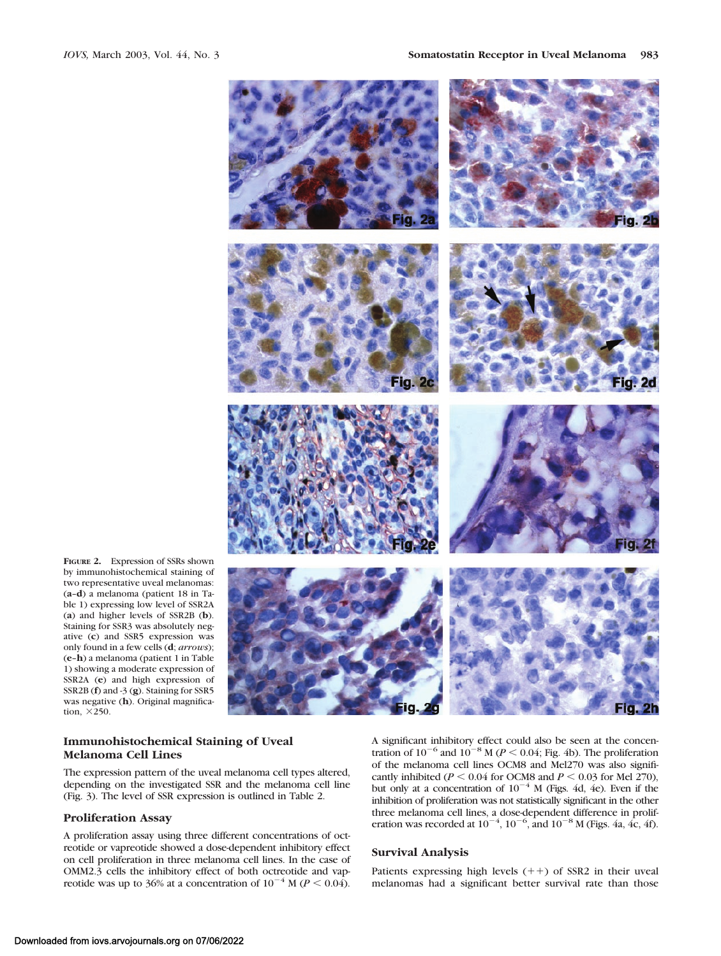

**FIGURE 2.** Expression of SSRs shown by immunohistochemical staining of two representative uveal melanomas: (**a**–**d**) a melanoma (patient 18 in Table 1) expressing low level of SSR2A (**a**) and higher levels of SSR2B (**b**). Staining for SSR3 was absolutely negative (**c**) and SSR5 expression was only found in a few cells (**d**; *arrows*); (**e**–**h**) a melanoma (patient 1 in Table 1) showing a moderate expression of SSR2A (**e**) and high expression of SSR2B (**f**) and -3 (**g**). Staining for SSR5 was negative (**h**). Original magnification,  $\times 250$ .

## **Immunohistochemical Staining of Uveal Melanoma Cell Lines**

The expression pattern of the uveal melanoma cell types altered, depending on the investigated SSR and the melanoma cell line (Fig. 3). The level of SSR expression is outlined in Table 2.

# **Proliferation Assay**

A proliferation assay using three different concentrations of octreotide or vapreotide showed a dose-dependent inhibitory effect on cell proliferation in three melanoma cell lines. In the case of OMM2.3 cells the inhibitory effect of both octreotide and vapreotide was up to 36% at a concentration of  $10^{-4}$  M ( $P < 0.04$ ).

A significant inhibitory effect could also be seen at the concentration of  $10^{-6}$  and  $10^{-8}$  M ( $P < 0.04$ ; Fig. 4b). The proliferation of the melanoma cell lines OCM8 and Mel270 was also significantly inhibited ( $P \le 0.04$  for OCM8 and  $P \le 0.03$  for Mel 270), but only at a concentration of  $10^{-4}$  M (Figs. 4d, 4e). Even if the inhibition of proliferation was not statistically significant in the other three melanoma cell lines, a dose-dependent difference in proliferation was recorded at  $10^{-4}$ ,  $10^{-6}$ , and  $10^{-8}$  M (Figs. 4a, 4c, 4f).

## **Survival Analysis**

Patients expressing high levels  $(++)$  of SSR2 in their uveal melanomas had a significant better survival rate than those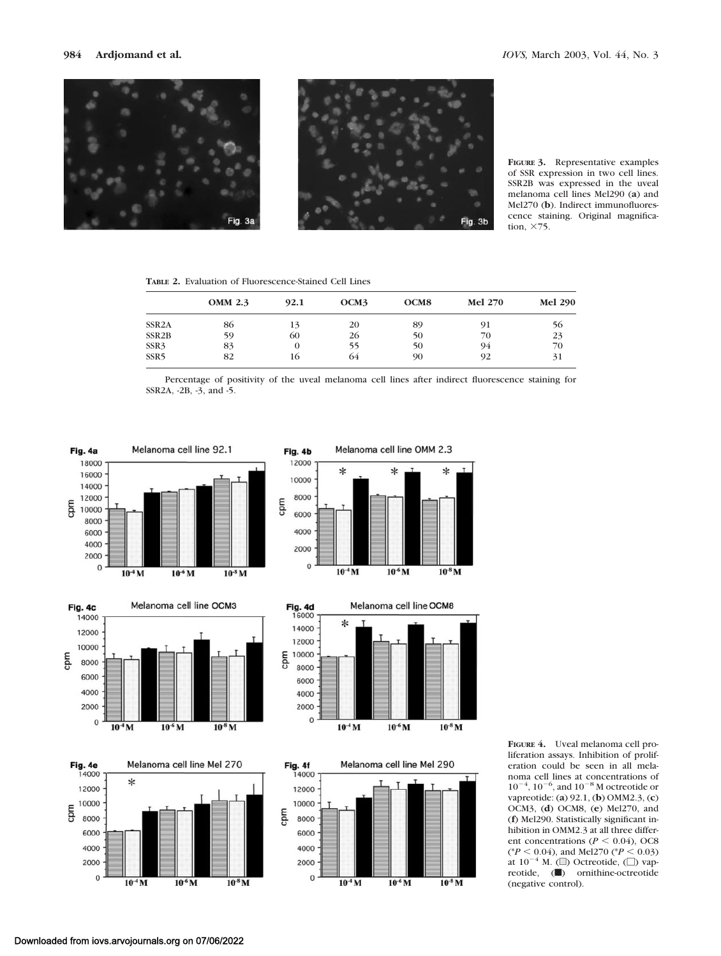



**FIGURE 3.** Representative examples of SSR expression in two cell lines. SSR2B was expressed in the uveal melanoma cell lines Mel290 (**a**) and Mel270 (**b**). Indirect immunofluorescence staining. Original magnification,  $\times$ 75.

**TABLE 2.** Evaluation of Fluorescence-Stained Cell Lines

|                    | <b>OMM 2.3</b> | 92.1 | OCM3 | OCM <sub>8</sub> | <b>Mel 270</b> | <b>Mel 290</b> |
|--------------------|----------------|------|------|------------------|----------------|----------------|
| SSR <sub>2</sub> A | 86             | 13   | 20   | 89               | 91             | 56             |
| SSR <sub>2</sub> B | 59             | 60   | 26   | 50               | 70             | 23             |
| SSR3               | 83             | 0    | 55   | 50               | 94             | 70             |
| SSR <sub>5</sub>   | 82             | 16   | 64   | 90               | 92             | 31             |

Percentage of positivity of the uveal melanoma cell lines after indirect fluorescence staining for SSR2A, -2B, -3, and -5.



**FIGURE 4.** Uveal melanoma cell proliferation assays. Inhibition of proliferation could be seen in all melanoma cell lines at concentrations of  $10^{-4}$ ,  $10^{-6}$ , and  $10^{-8}$  M octreotide or vapreotide: (**a**) 92.1, (**b**) OMM2.3, (**c**) OCM3, (**d**) OCM8, (**e**) Mel270, and (**f**) Mel290. Statistically significant inhibition in OMM2.3 at all three different concentrations ( $P < 0.04$ ), OC8  $(^{\ast}P < 0.04)$ , and Mel270 ( $^{\ast}P < 0.03$ ) at  $10^{-4}$  M. (a) Octreotide, (D) vapreotide, (b) ornithine-octreotide (negative control).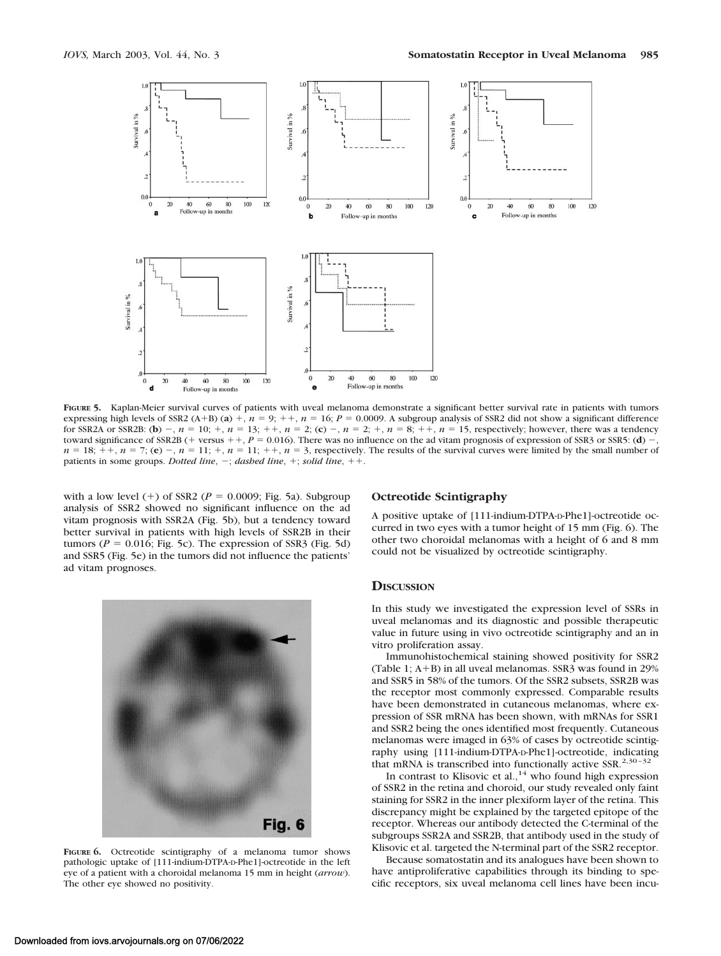

**FIGURE 5.** Kaplan-Meier survival curves of patients with uveal melanoma demonstrate a significant better survival rate in patients with tumors expressing high levels of SSR2 (A+B) (a) +,  $n = 9$ ; ++,  $n = 16$ ;  $P = 0.0009$ . A subgroup analysis of SSR2 did not show a significant difference for SSR2A or SSR2B: (**b**)  $-$ ,  $n = 10$ ;  $+$ ,  $n = 13$ ;  $+$ ,  $n = 2$ ; (**c**)  $-$ ,  $n = 2$ ;  $+$ ,  $n = 8$ ;  $+$ ,  $n = 15$ , respectively; however, there was a tendency toward significance of SSR2B (+ versus + +,  $P = 0.016$ ). There was no influence on the ad vitam prognosis of expression of SSR3 or SSR5: (**d**) -,  $n = 18$ ;  $+$ ,  $n = 7$ ; (e)  $-$ ,  $n = 11$ ;  $+$ ,  $n = 11$ ;  $+$ ,  $n = 3$ , respectively. The results of the survival curves were limited by the small number of patients in some groups. *Dotted line*,  $-$ ; *dashed line*,  $+$ ; *solid line*,  $++$ .

with a low level  $(+)$  of SSR2 ( $P = 0.0009$ ; Fig. 5a). Subgroup analysis of SSR2 showed no significant influence on the ad vitam prognosis with SSR2A (Fig. 5b), but a tendency toward better survival in patients with high levels of SSR2B in their tumors ( $P = 0.016$ ; Fig. 5c). The expression of SSR3 (Fig. 5d) and SSR5 (Fig. 5e) in the tumors did not influence the patients' ad vitam prognoses.



**FIGURE 6.** Octreotide scintigraphy of a melanoma tumor shows pathologic uptake of [111-indium-DTPA-D-Phe1]-octreotide in the left eye of a patient with a choroidal melanoma 15 mm in height (*arrow*). The other eye showed no positivity.

## **Octreotide Scintigraphy**

A positive uptake of [111-indium-DTPA-D-Phe1]-octreotide occurred in two eyes with a tumor height of 15 mm (Fig. 6). The other two choroidal melanomas with a height of 6 and 8 mm could not be visualized by octreotide scintigraphy.

# **DISCUSSION**

In this study we investigated the expression level of SSRs in uveal melanomas and its diagnostic and possible therapeutic value in future using in vivo octreotide scintigraphy and an in vitro proliferation assay.

Immunohistochemical staining showed positivity for SSR2 (Table 1;  $A+B$ ) in all uveal melanomas. SSR3 was found in 29% and SSR5 in 58% of the tumors. Of the SSR2 subsets, SSR2B was the receptor most commonly expressed. Comparable results have been demonstrated in cutaneous melanomas, where expression of SSR mRNA has been shown, with mRNAs for SSR1 and SSR2 being the ones identified most frequently. Cutaneous melanomas were imaged in 63% of cases by octreotide scintigraphy using [111-indium-DTPA-D-Phe1]-octreotide, indicating that mRNA is transcribed into functionally active SSR.<sup>2,30-32</sup>

In contrast to Klisovic et al.,<sup>14</sup> who found high expression of SSR2 in the retina and choroid, our study revealed only faint staining for SSR2 in the inner plexiform layer of the retina. This discrepancy might be explained by the targeted epitope of the receptor. Whereas our antibody detected the C-terminal of the subgroups SSR2A and SSR2B, that antibody used in the study of Klisovic et al. targeted the N-terminal part of the SSR2 receptor.

Because somatostatin and its analogues have been shown to have antiproliferative capabilities through its binding to specific receptors, six uveal melanoma cell lines have been incu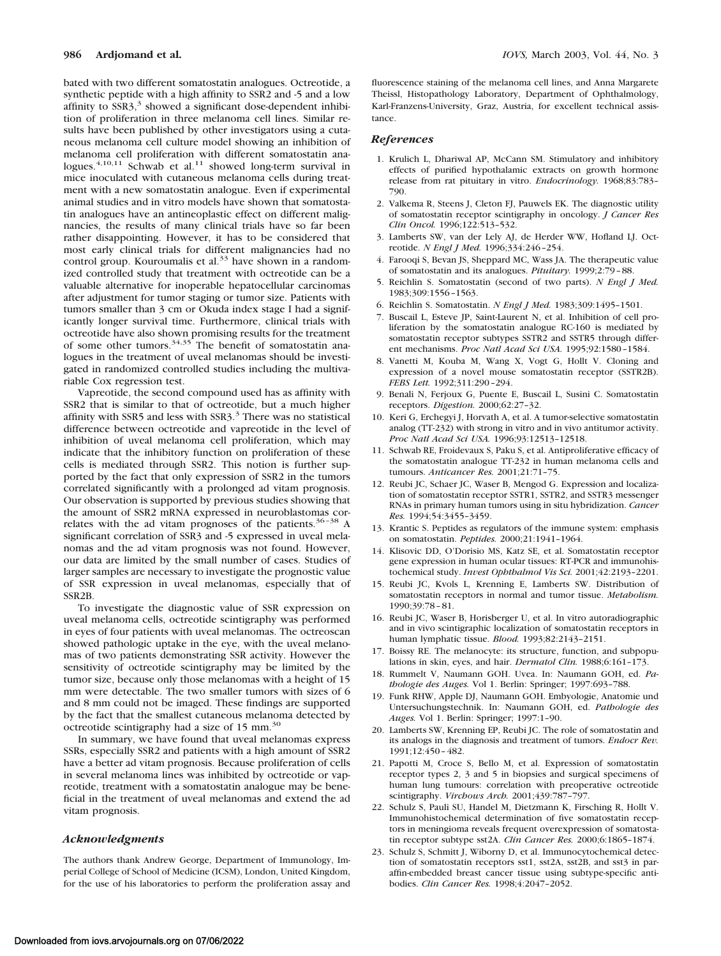bated with two different somatostatin analogues. Octreotide, a synthetic peptide with a high affinity to SSR2 and -5 and a low affinity to  $SSR3$ ,<sup>3</sup> showed a significant dose-dependent inhibition of proliferation in three melanoma cell lines. Similar results have been published by other investigators using a cutaneous melanoma cell culture model showing an inhibition of melanoma cell proliferation with different somatostatin analogues. $4,10,11$  Schwab et al.<sup>11</sup> showed long-term survival in mice inoculated with cutaneous melanoma cells during treatment with a new somatostatin analogue. Even if experimental animal studies and in vitro models have shown that somatostatin analogues have an antineoplastic effect on different malignancies, the results of many clinical trials have so far been rather disappointing. However, it has to be considered that most early clinical trials for different malignancies had no control group. Kouroumalis et al.<sup>33</sup> have shown in a randomized controlled study that treatment with octreotide can be a valuable alternative for inoperable hepatocellular carcinomas after adjustment for tumor staging or tumor size. Patients with tumors smaller than 3 cm or Okuda index stage I had a significantly longer survival time. Furthermore, clinical trials with octreotide have also shown promising results for the treatment of some other tumors.<sup>34,35</sup> The benefit of somatostatin analogues in the treatment of uveal melanomas should be investigated in randomized controlled studies including the multivariable Cox regression test.

Vapreotide, the second compound used has as affinity with SSR2 that is similar to that of octreotide, but a much higher affinity with SSR5 and less with SSR3.<sup>3</sup> There was no statistical difference between octreotide and vapreotide in the level of inhibition of uveal melanoma cell proliferation, which may indicate that the inhibitory function on proliferation of these cells is mediated through SSR2. This notion is further supported by the fact that only expression of SSR2 in the tumors correlated significantly with a prolonged ad vitam prognosis. Our observation is supported by previous studies showing that the amount of SSR2 mRNA expressed in neuroblastomas correlates with the ad vitam prognoses of the patients.<sup>36-38</sup> A significant correlation of SSR3 and -5 expressed in uveal melanomas and the ad vitam prognosis was not found. However, our data are limited by the small number of cases. Studies of larger samples are necessary to investigate the prognostic value of SSR expression in uveal melanomas, especially that of SSR2B.

To investigate the diagnostic value of SSR expression on uveal melanoma cells, octreotide scintigraphy was performed in eyes of four patients with uveal melanomas. The octreoscan showed pathologic uptake in the eye, with the uveal melanomas of two patients demonstrating SSR activity. However the sensitivity of octreotide scintigraphy may be limited by the tumor size, because only those melanomas with a height of 15 mm were detectable. The two smaller tumors with sizes of 6 and 8 mm could not be imaged. These findings are supported by the fact that the smallest cutaneous melanoma detected by octreotide scintigraphy had a size of 15 mm.<sup>30</sup>

In summary, we have found that uveal melanomas express SSRs, especially SSR2 and patients with a high amount of SSR2 have a better ad vitam prognosis. Because proliferation of cells in several melanoma lines was inhibited by octreotide or vapreotide, treatment with a somatostatin analogue may be beneficial in the treatment of uveal melanomas and extend the ad vitam prognosis.

## *Acknowledgments*

The authors thank Andrew George, Department of Immunology, Imperial College of School of Medicine (ICSM), London, United Kingdom, for the use of his laboratories to perform the proliferation assay and fluorescence staining of the melanoma cell lines, and Anna Margarete Theissl, Histopathology Laboratory, Department of Ophthalmology, Karl-Franzens-University, Graz, Austria, for excellent technical assistance.

#### *References*

- 1. Krulich L, Dhariwal AP, McCann SM. Stimulatory and inhibitory effects of purified hypothalamic extracts on growth hormone release from rat pituitary in vitro. *Endocrinology.* 1968;83:783– 790.
- 2. Valkema R, Steens J, Cleton FJ, Pauwels EK. The diagnostic utility of somatostatin receptor scintigraphy in oncology. *J Cancer Res Clin Oncol.* 1996;122:513–532.
- 3. Lamberts SW, van der Lely AJ, de Herder WW, Hofland LJ. Octreotide. *N Engl J Med.* 1996;334:246–254.
- 4. Farooqi S, Bevan JS, Sheppard MC, Wass JA. The therapeutic value of somatostatin and its analogues. *Pituitary.* 1999;2:79–88.
- 5. Reichlin S. Somatostatin (second of two parts). *N Engl J Med.* 1983;309:1556–1563.
- 6. Reichlin S. Somatostatin. *N Engl J Med.* 1983;309:1495–1501.
- 7. Buscail L, Esteve JP, Saint-Laurent N, et al. Inhibition of cell proliferation by the somatostatin analogue RC-160 is mediated by somatostatin receptor subtypes SSTR2 and SSTR5 through different mechanisms. *Proc Natl Acad Sci USA.* 1995;92:1580–1584.
- 8. Vanetti M, Kouba M, Wang X, Vogt G, Hollt V. Cloning and expression of a novel mouse somatostatin receptor (SSTR2B). *FEBS Lett.* 1992;311:290–294.
- 9. Benali N, Ferjoux G, Puente E, Buscail L, Susini C. Somatostatin receptors. *Digestion.* 2000;62:27–32.
- 10. Keri G, Erchegyi J, Horvath A, et al. A tumor-selective somatostatin analog (TT-232) with strong in vitro and in vivo antitumor activity. *Proc Natl Acad Sci USA.* 1996;93:12513–12518.
- 11. Schwab RE, Froidevaux S, Paku S, et al. Antiproliferative efficacy of the somatostatin analogue TT-232 in human melanoma cells and tumours. *Anticancer Res.* 2001;21:71–75.
- 12. Reubi JC, Schaer JC, Waser B, Mengod G. Expression and localization of somatostatin receptor SSTR1, SSTR2, and SSTR3 messenger RNAs in primary human tumors using in situ hybridization. *Cancer Res.* 1994;54:3455–3459.
- 13. Krantic S. Peptides as regulators of the immune system: emphasis on somatostatin. *Peptides.* 2000;21:1941–1964.
- 14. Klisovic DD, O'Dorisio MS, Katz SE, et al. Somatostatin receptor gene expression in human ocular tissues: RT-PCR and immunohistochemical study. *Invest Ophthalmol Vis Sci.* 2001;42:2193–2201.
- 15. Reubi JC, Kvols L, Krenning E, Lamberts SW. Distribution of somatostatin receptors in normal and tumor tissue. *Metabolism.* 1990;39:78–81.
- 16. Reubi JC, Waser B, Horisberger U, et al. In vitro autoradiographic and in vivo scintigraphic localization of somatostatin receptors in human lymphatic tissue. *Blood.* 1993;82:2143–2151.
- 17. Boissy RE. The melanocyte: its structure, function, and subpopulations in skin, eyes, and hair. *Dermatol Clin.* 1988;6:161–173.
- 18. Rummelt V, Naumann GOH. Uvea. In: Naumann GOH, ed. *Pathologie des Auges.* Vol 1. Berlin: Springer; 1997:693–788.
- 19. Funk RHW, Apple DJ, Naumann GOH. Embyologie, Anatomie und Untersuchungstechnik. In: Naumann GOH, ed. *Pathologie des Auges.* Vol 1. Berlin: Springer; 1997:1–90.
- 20. Lamberts SW, Krenning EP, Reubi JC. The role of somatostatin and its analogs in the diagnosis and treatment of tumors. *Endocr Rev.* 1991;12:450–482.
- 21. Papotti M, Croce S, Bello M, et al. Expression of somatostatin receptor types 2, 3 and 5 in biopsies and surgical specimens of human lung tumours: correlation with preoperative octreotide scintigraphy. *Virchows Arch.* 2001;439:787–797.
- 22. Schulz S, Pauli SU, Handel M, Dietzmann K, Firsching R, Hollt V. Immunohistochemical determination of five somatostatin receptors in meningioma reveals frequent overexpression of somatostatin receptor subtype sst2A. *Clin Cancer Res.* 2000;6:1865–1874.
- 23. Schulz S, Schmitt J, Wiborny D, et al. Immunocytochemical detection of somatostatin receptors sst1, sst2A, sst2B, and sst3 in paraffin-embedded breast cancer tissue using subtype-specific antibodies. *Clin Cancer Res.* 1998;4:2047–2052.